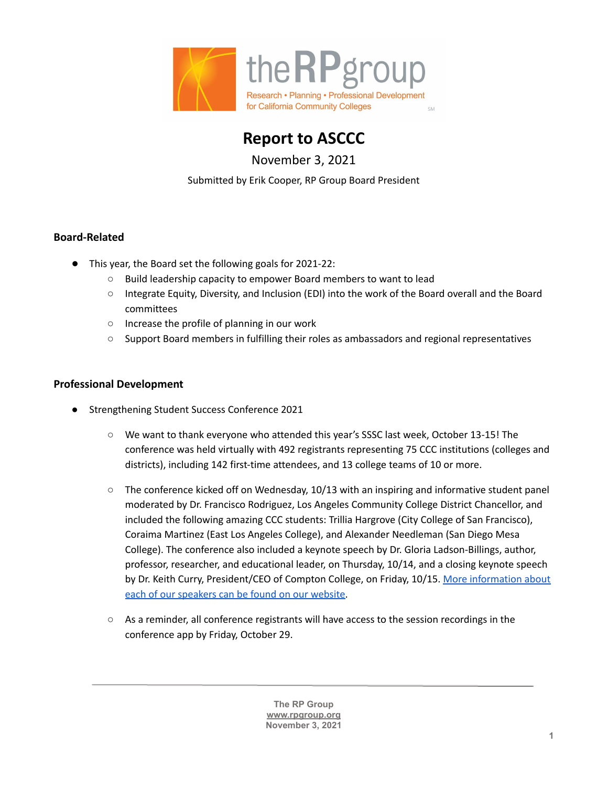

**Report to ASCCC**

November 3, 2021

Submitted by Erik Cooper, RP Group Board President

## **Board-Related**

- This year, the Board set the following goals for 2021-22:
	- Build leadership capacity to empower Board members to want to lead
	- Integrate Equity, Diversity, and Inclusion (EDI) into the work of the Board overall and the Board committees
	- Increase the profile of planning in our work
	- Support Board members in fulfilling their roles as ambassadors and regional representatives

## **Professional Development**

- Strengthening Student Success Conference 2021
	- We want to thank everyone who attended this year's SSSC last week, October 13-15! The conference was held virtually with 492 registrants representing 75 CCC institutions (colleges and districts), including 142 first-time attendees, and 13 college teams of 10 or more.
	- $\circ$  The conference kicked off on Wednesday, 10/13 with an inspiring and informative student panel moderated by Dr. Francisco Rodriguez, Los Angeles Community College District Chancellor, and included the following amazing CCC students: Trillia Hargrove (City College of San Francisco), Coraima Martinez (East Los Angeles College), and Alexander Needleman (San Diego Mesa College). The conference also included a keynote speech by Dr. Gloria Ladson-Billings, author, professor, researcher, and educational leader, on Thursday, 10/14, and a closing keynote speech by Dr. Keith Curry, President/CEO of Compton College, on Friday, 10/15. More [information](https://rpgroup.org/Events/Strengthening-Student-Success/Keynote-Plenary-Speakers) about each of our [speakers](https://rpgroup.org/Events/Strengthening-Student-Success/Keynote-Plenary-Speakers) can be found on our website.
	- As a reminder, all conference registrants will have access to the session recordings in the conference app by Friday, October 29.